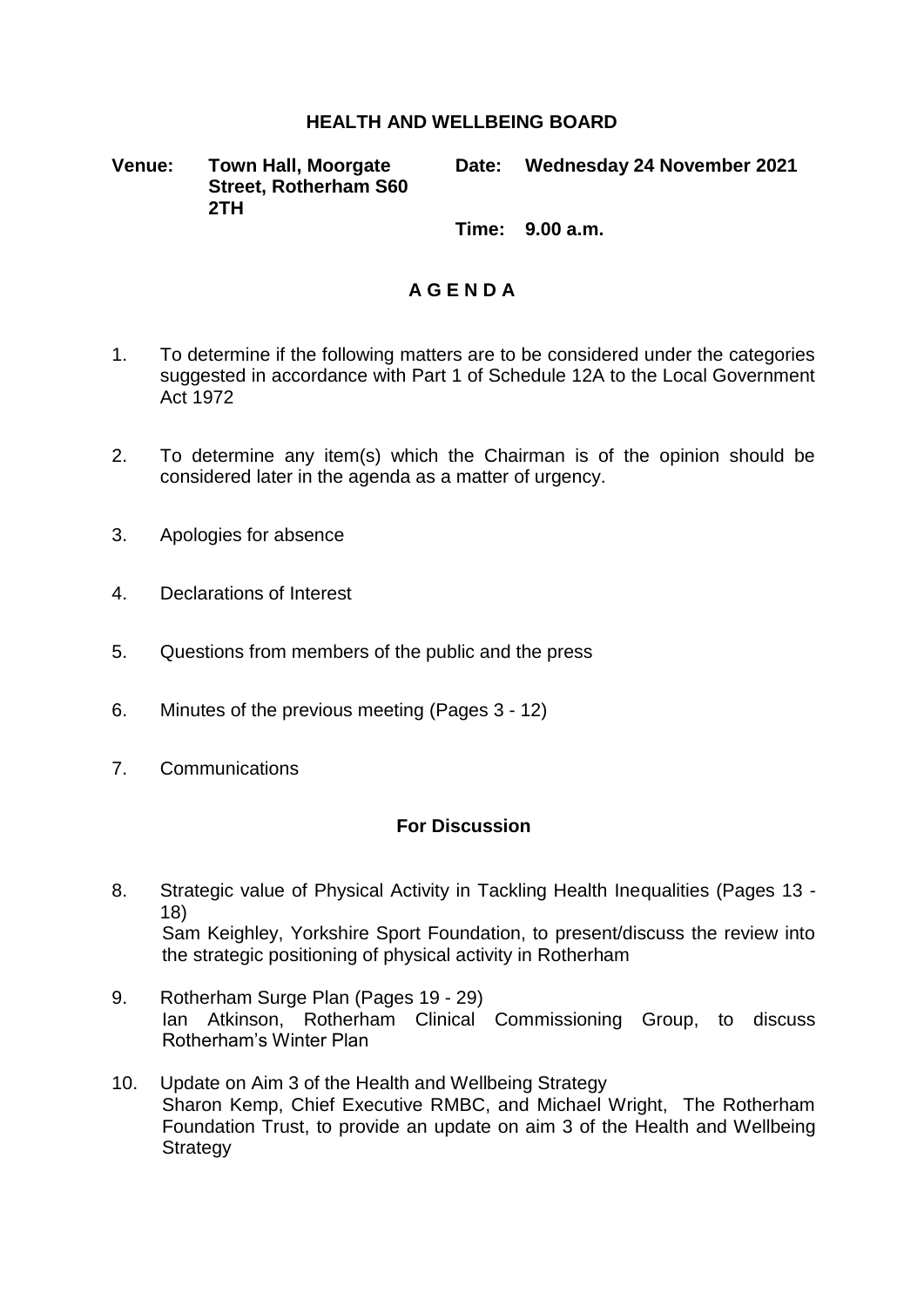## **HEALTH AND WELLBEING BOARD**

**Venue: Town Hall, Moorgate Street, Rotherham S60 2TH**

**Date: Wednesday 24 November 2021**

**Time: 9.00 a.m.**

## **A G E N D A**

- 1. To determine if the following matters are to be considered under the categories suggested in accordance with Part 1 of Schedule 12A to the Local Government Act 1972
- 2. To determine any item(s) which the Chairman is of the opinion should be considered later in the agenda as a matter of urgency.
- 3. Apologies for absence
- 4. Declarations of Interest
- 5. Questions from members of the public and the press
- 6. Minutes of the previous meeting (Pages 3 12)
- 7. Communications

## **For Discussion**

- 8. Strategic value of Physical Activity in Tackling Health Inequalities (Pages 13 18) Sam Keighley, Yorkshire Sport Foundation, to present/discuss the review into the strategic positioning of physical activity in Rotherham
- 9. Rotherham Surge Plan (Pages 19 29) Ian Atkinson, Rotherham Clinical Commissioning Group, to discuss Rotherham's Winter Plan
- 10. Update on Aim 3 of the Health and Wellbeing Strategy Sharon Kemp, Chief Executive RMBC, and Michael Wright, The Rotherham Foundation Trust, to provide an update on aim 3 of the Health and Wellbeing **Strategy**